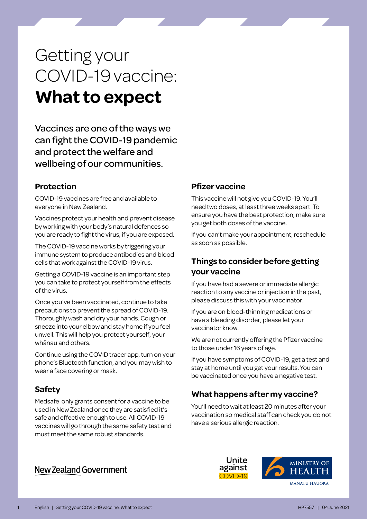# Getting your COVID-19 vaccine: **What to expect**

Vaccines are one of the ways we can fight the COVID-19 pandemic and protect the welfare and wellbeing of our communities.

#### **Protection**

COVID-19 vaccines are free and available to everyone in New Zealand.

Vaccines protect your health and prevent disease by working with your body's natural defences so you are ready to fight the virus, if you are exposed.

The COVID-19 vaccine works by triggering your immune system to produce antibodies and blood cells that work against the COVID-19 virus.

Getting a COVID-19 vaccine is an important step you can take to protect yourself from the effects of the virus.

Once you've been vaccinated, continue to take precautions to prevent the spread of COVID-19. Thoroughly wash and dry your hands. Cough or sneeze into your elbow and stay home if you feel unwell. This will help you protect yourself, your whānau and others.

Continue using the COVID tracer app, turn on your phone's Bluetooth function, and you may wish to wear a face covering or mask.

#### **Safety**

Medsafe only grants consent for a vaccine to be used in New Zealand once they are satisfied it's safe and effective enough to use. All COVID-19 vaccines will go through the same safety test and must meet the same robust standards.

# New Zealand Government

## **Pfizer vaccine**

This vaccine will not give you COVID-19. You'll need two doses, at least three weeks apart. To ensure you have the best protection, make sure you get both doses of the vaccine.

If you can't make your appointment, reschedule as soon as possible.

## **Things to consider before getting your vaccine**

If you have had a severe or immediate allergic reaction to any vaccine or injection in the past, please discuss this with your vaccinator.

If you are on blood-thinning medications or have a bleeding disorder, please let your vaccinator know.

We are not currently offering the Pfizer vaccine to those under 16 years of age.

If you have symptoms of COVID-19, get a test and stay at home until you get your results. You can be vaccinated once you have a negative test.

# **What happens after my vaccine?**

You'll need to wait at least 20 minutes after your vaccination so medical staff can check you do not have a serious allergic reaction.